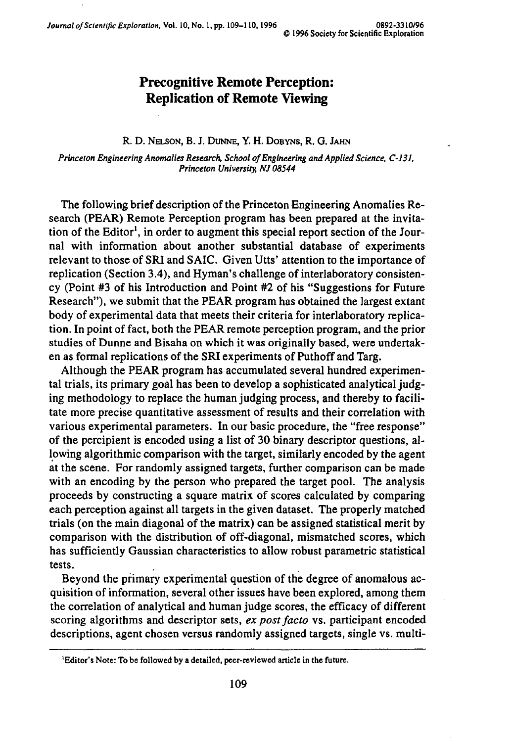*Journal of Scientific Exploration, Vol. 10, No. 1, pp. 109-110, 1996* 0892-3310/96

## **Precognitive Remote Perception: Replication of Remote Viewing**

## R. D. NELSON, B. J. DUNNE, Y. H. DOBYNS, R. G. JAHN

*Princeton Engineering Anomalies Research, School of Engineering and Applied Science, C-131, Princeton University, NJ 08544*

The following brief description of the Princeton Engineering Anomalies Research (PEAR) Remote Perception program has been prepared at the invitation of the Editor<sup>1</sup>, in order to augment this special report section of the Journal with information about another substantial database of experiments relevant to those of SRI and SAIC. Given Utts' attention to the importance of replication (Section 3.4), and Hyman's challenge of interlaboratory consistency (Point #3 of his Introduction and Point #2 of his "Suggestions for Future Research"), we submit that the PEAR program has obtained the largest extant body of experimental data that meets their criteria for interlaboratory replication. In point of fact, both the PEAR remote perception program, and the prior studies of Dunne and Bisaha on which it was originally based, were undertaken as formal replications of the SRI experiments of Puthoff and Targ.

Although the PEAR program has accumulated several hundred experimental trials, its primary goal has been to develop a sophisticated analytical judging methodology to replace the human judging process, and thereby to facilitate more precise quantitative assessment of results and their correlation with various experimental parameters. In our basic procedure, the "free response" of the percipient is encoded using a list of 30 binary descriptor questions, allowing algorithmic comparison with the target, similarly encoded by the agent at the scene. For randomly assigned targets, further comparison can be made with an encoding by the person who prepared the target pool. The analysis proceeds by constructing a square matrix of scores calculated by comparing each perception against all targets in the given dataset. The properly matched trials (on the main diagonal of the matrix) can be assigned statistical merit by comparison with the distribution of off-diagonal, mismatched scores, which has sufficiently Gaussian characteristics to allow robust parametric statistical tests.

Beyond the primary experimental question of the degree of anomalous acquisition of information, several other issues have been explored, among them the correlation of analytical and human judge scores, the efficacy of different scoring algorithms and descriptor sets, *ex post facto* vs. participant encoded descriptions, agent chosen versus randomly assigned targets, single vs. multi-

<sup>&</sup>lt;sup>1</sup> Editor's Note: To be followed by a detailed, peer-reviewed article in the future.